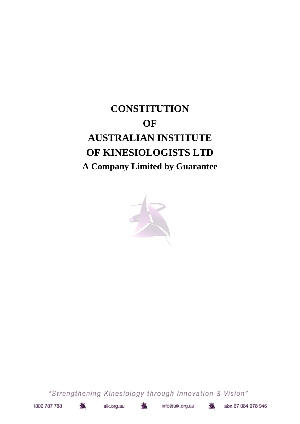# **CONSTITUTION OF AUSTRALIAN INSTITUTE OF KINESIOLOGISTS LTD A Company Limited by Guarantee**



"Strengthening Kinesiology through Innovation & Vision"



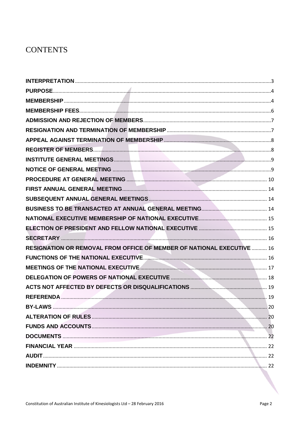# **CONTENTS**

| RESIGNATION OR REMOVAL FROM OFFICE OF MEMBER OF NATIONAL EXECUTIVE  16                   |  |
|------------------------------------------------------------------------------------------|--|
|                                                                                          |  |
| MEETINGS OF THE NATIONAL EXECUTIVE <b>CONSIDERING MEETINGS</b> OF THE NATIONAL EXECUTIVE |  |
|                                                                                          |  |
|                                                                                          |  |
|                                                                                          |  |
|                                                                                          |  |
|                                                                                          |  |
|                                                                                          |  |
|                                                                                          |  |
|                                                                                          |  |
|                                                                                          |  |
|                                                                                          |  |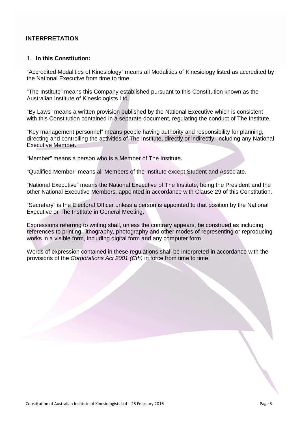# **INTERPRETATION**

#### 1. **In this Constitution:**

"Accredited Modalities of Kinesiology" means all Modalities of Kinesiology listed as accredited by the National Executive from time to time.

"The Institute" means this Company established pursuant to this Constitution known as the Australian Institute of Kinesiologists Ltd.

"By Laws" means a written provision published by the National Executive which is consistent with this Constitution contained in a separate document, regulating the conduct of The Institute.

"Key management personnel" means people having authority and responsibility for planning, directing and controlling the activities of The Institute, directly or indirectly, including any National Executive Member.

"Member" means a person who is a Member of The Institute.

"Qualified Member" means all Members of the Institute except Student and Associate.

"National Executive" means the National Executive of The Institute, being the President and the other National Executive Members, appointed in accordance with Clause 29 of this Constitution.

"Secretary" is the Electoral Officer unless a person is appointed to that position by the National Executive or The Institute in General Meeting.

Expressions referring to writing shall, unless the contrary appears, be construed as including references to printing, lithography, photography and other modes of representing or reproducing works in a visible form, including digital form and any computer form.

Words of expression contained in these regulations shall be interpreted in accordance with the provisions of the *Corporations Act 2001 (Cth)* in force from time to time.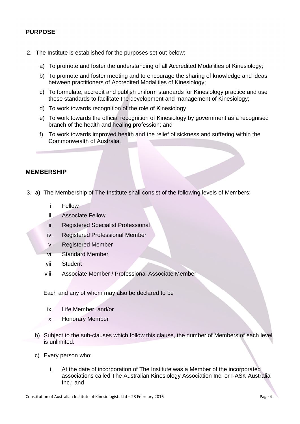# **PURPOSE**

- 2. The Institute is established for the purposes set out below:
	- a) To promote and foster the understanding of all Accredited Modalities of Kinesiology;
	- b) To promote and foster meeting and to encourage the sharing of knowledge and ideas between practitioners of Accredited Modalities of Kinesiology;
	- c) To formulate, accredit and publish uniform standards for Kinesiology practice and use these standards to facilitate the development and management of Kinesiology;
	- d) To work towards recognition of the role of Kinesiology
	- e) To work towards the official recognition of Kinesiology by government as a recognised branch of the health and healing profession; and
	- f) To work towards improved health and the relief of sickness and suffering within the Commonwealth of Australia.

#### **MEMBERSHIP**

- 3. a) The Membership of The Institute shall consist of the following levels of Members:
	- i. Fellow
	- ii. Associate Fellow
	- iii. Registered Specialist Professional
	- iv. Registered Professional Member
	- v. Registered Member
	- vi. Standard Member
	- vii. Student
	- viii. Associate Member / Professional Associate Member

Each and any of whom may also be declared to be

- ix. Life Member; and/or
- x. Honorary Member
- b) Subject to the sub-clauses which follow this clause, the number of Members of each level is unlimited.
- c) Every person who:
	- i. At the date of incorporation of The Institute was a Member of the incorporated associations called The Australian Kinesiology Association Inc. or I-ASK Australia Inc.; and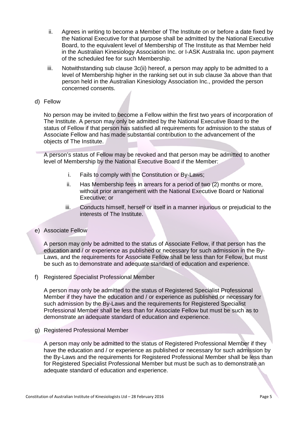- ii. Agrees in writing to become a Member of The Institute on or before a date fixed by the National Executive for that purpose shall be admitted by the National Executive Board, to the equivalent level of Membership of The Institute as that Member held in the Australian Kinesiology Association Inc. or I-ASK Australia Inc. upon payment of the scheduled fee for such Membership.
- iii. Notwithstanding sub clause 3c(ii) hereof, a person may apply to be admitted to a level of Membership higher in the ranking set out in sub clause 3a above than that person held in the Australian Kinesiology Association Inc., provided the person concerned consents.
- d) Fellow

No person may be invited to become a Fellow within the first two years of incorporation of The Institute. A person may only be admitted by the National Executive Board to the status of Fellow if that person has satisfied all requirements for admission to the status of Associate Fellow and has made substantial contribution to the advancement of the objects of The Institute.

A person's status of Fellow may be revoked and that person may be admitted to another level of Membership by the National Executive Board if the Member:

- i. Fails to comply with the Constitution or By-Laws;
- ii. Has Membership fees in arrears for a period of two (2) months or more, without prior arrangement with the National Executive Board or National Executive; or
- iii. Conducts himself, herself or itself in a manner injurious or prejudicial to the interests of The Institute.
- e) Associate Fellow

A person may only be admitted to the status of Associate Fellow, if that person has the education and / or experience as published or necessary for such admission in the By-Laws, and the requirements for Associate Fellow shall be less than for Fellow, but must be such as to demonstrate and adequate standard of education and experience.

f) Registered Specialist Professional Member

A person may only be admitted to the status of Registered Specialist Professional Member if they have the education and / or experience as published or necessary for such admission by the By-Laws and the requirements for Registered Specialist Professional Member shall be less than for Associate Fellow but must be such as to demonstrate an adequate standard of education and experience.

g) Registered Professional Member

A person may only be admitted to the status of Registered Professional Member if they have the education and / or experience as published or necessary for such admission by the By-Laws and the requirements for Registered Professional Member shall be less than for Registered Specialist Professional Member but must be such as to demonstrate an adequate standard of education and experience.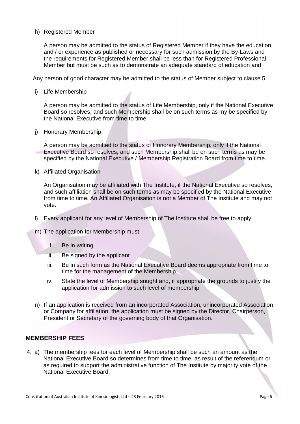#### h) Registered Member

A person may be admitted to the status of Registered Member if they have the education and / or experience as published or necessary for such admission by the By-Laws and the requirements for Registered Member shall be less than for Registered Professional Member but must be such as to demonstrate an adequate standard of education and

Any person of good character may be admitted to the status of Member subject to clause 5.

i) Life Membership

A person may be admitted to the status of Life Membership, only if the National Executive Board so resolves, and such Membership shall be on such terms as my be specified by the National Executive from time to time.

j) Honorary Membership

A person may be admitted to the status of Honorary Membership, only if the National Executive Board so resolves, and such Membership shall be on such terms as may be specified by the National Executive / Membership Registration Board from time to time.

k) Affiliated Organisation

An Organisation may be affiliated with The Institute, if the National Executive so resolves, and such affiliation shall be on such terms as may be specified by the National Executive from time to time. An Affiliated Organisation is not a Member of The Institute and may not vote.

- l) Every applicant for any level of Membership of The Institute shall be free to apply.
- m) The application for Membership must:
	- i. Be in writing
	- ii. Be signed by the applicant
	- iii. Be in such form as the National Executive Board deems appropriate from time to time for the management of the Membership
	- iv. State the level of Membership sought and, if appropriate the grounds to justify the application for admission to such level of membership
- n) If an application is received from an incorporated Association, unincorporated Association or Company for affiliation, the application must be signed by the Director, Chairperson, President or Secretary of the governing body of that Organisation.

#### **MEMBERSHIP FEES**

4. a) The membership fees for each level of Membership shall be such an amount as the National Executive Board so determines from time to time, as result of the referendum or as required to support the administrative function of The Institute by majority vote of the National Executive Board.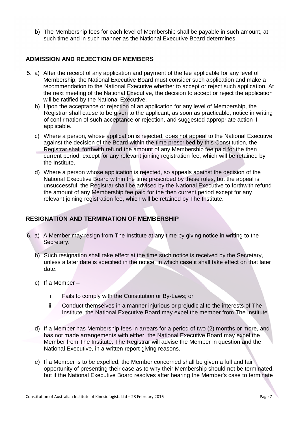b) The Membership fees for each level of Membership shall be payable in such amount, at such time and in such manner as the National Executive Board determines.

# **ADMISSION AND REJECTION OF MEMBERS**

- 5. a) After the receipt of any application and payment of the fee applicable for any level of Membership, the National Executive Board must consider such application and make a recommendation to the National Executive whether to accept or reject such application. At the next meeting of the National Executive, the decision to accept or reject the application will be ratified by the National Executive.
	- b) Upon the acceptance or rejection of an application for any level of Membership, the Registrar shall cause to be given to the applicant, as soon as practicable, notice in writing of confirmation of such acceptance or rejection, and suggested appropriate action if applicable.
	- c) Where a person, whose application is rejected, does not appeal to the National Executive against the decision of the Board within the time prescribed by this Constitution, the Registrar shall forthwith refund the amount of any Membership fee paid for the then current period, except for any relevant joining registration fee, which will be retained by the Institute.
	- d) Where a person whose application is rejected, so appeals against the decision of the National Executive Board within the time prescribed by these rules, but the appeal is unsuccessful, the Registrar shall be advised by the National Executive to forthwith refund the amount of any Membership fee paid for the then current period except for any relevant joining registration fee, which will be retained by The Institute.

# **RESIGNATION AND TERMINATION OF MEMBERSHIP**

- 6. a) A Member may resign from The Institute at any time by giving notice in writing to the Secretary.
	- b) Such resignation shall take effect at the time such notice is received by the Secretary, unless a later date is specified in the notice, in which case it shall take effect on that later date.
	- c) If a Member
		- i. Fails to comply with the Constitution or By-Laws; or
		- ii. Conduct themselves in a manner injurious or prejudicial to the interests of The Institute, the National Executive Board may expel the member from The Institute.
	- d) If a Member has Membership fees in arrears for a period of two (2) months or more, and has not made arrangements with either, the National Executive Board may expel the Member from The Institute. The Registrar will advise the Member in question and the National Executive, in a written report giving reasons.
	- e) If a Member is to be expelled, the Member concerned shall be given a full and fair opportunity of presenting their case as to why their Membership should not be terminated, but if the National Executive Board resolves after hearing the Member's case to terminate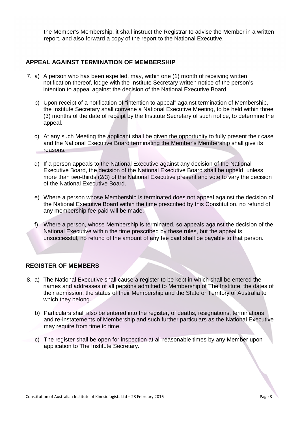the Member's Membership, it shall instruct the Registrar to advise the Member in a written report, and also forward a copy of the report to the National Executive.

# **APPEAL AGAINST TERMINATION OF MEMBERSHIP**

- 7. a) A person who has been expelled, may, within one (1) month of receiving written notification thereof, lodge with the Institute Secretary written notice of the person's intention to appeal against the decision of the National Executive Board.
	- b) Upon receipt of a notification of "intention to appeal" against termination of Membership, the Institute Secretary shall convene a National Executive Meeting, to be held within three (3) months of the date of receipt by the Institute Secretary of such notice, to determine the appeal.
	- c) At any such Meeting the applicant shall be given the opportunity to fully present their case and the National Executive Board terminating the Member's Membership shall give its reasons.
	- d) If a person appeals to the National Executive against any decision of the National Executive Board, the decision of the National Executive Board shall be upheld, unless more than two-thirds (2/3) of the National Executive present and vote to vary the decision of the National Executive Board.
	- e) Where a person whose Membership is terminated does not appeal against the decision of the National Executive Board within the time prescribed by this Constitution, no refund of any membership fee paid will be made.
	- f) Where a person, whose Membership is terminated, so appeals against the decision of the National Executive within the time prescribed by these rules, but the appeal is unsuccessful, no refund of the amount of any fee paid shall be payable to that person.

#### **REGISTER OF MEMBERS**

- 8. a) The National Executive shall cause a register to be kept in which shall be entered the names and addresses of all persons admitted to Membership of The Institute, the dates of their admission, the status of their Membership and the State or Territory of Australia to which they belong.
	- b) Particulars shall also be entered into the register, of deaths, resignations, terminations and re-instatements of Membership and such further particulars as the National Executive may require from time to time.
	- c) The register shall be open for inspection at all reasonable times by any Member upon application to The Institute Secretary.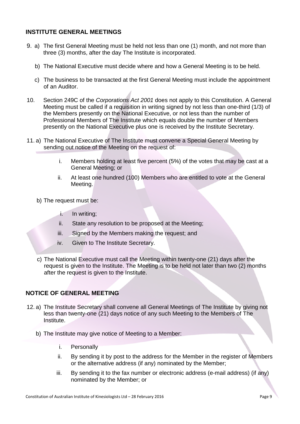# **INSTITUTE GENERAL MEETINGS**

- 9. a) The first General Meeting must be held not less than one (1) month, and not more than three (3) months, after the day The Institute is incorporated.
	- b) The National Executive must decide where and how a General Meeting is to be held.
	- c) The business to be transacted at the first General Meeting must include the appointment of an Auditor.
- 10. Section 249C of the *Corporations Act 2001* does not apply to this Constitution. A General Meeting must be called if a requisition in writing signed by not less than one-third (1/3) of the Members presently on the National Executive, or not less than the number of Professional Members of The Institute which equals double the number of Members presently on the National Executive plus one is received by the Institute Secretary.
- 11. a) The National Executive of The Institute must convene a Special General Meeting by sending out notice of the Meeting on the request of:
	- i. Members holding at least five percent (5%) of the votes that may be cast at a General Meeting; or
	- ii. At least one hundred (100) Members who are entitled to vote at the General Meeting.
	- b) The request must be:
		- i. In writing;
		- ii. State any resolution to be proposed at the Meeting;
		- iii. Signed by the Members making the request; and
		- iv. Given to The Institute Secretary.
	- c) The National Executive must call the Meeting within twenty-one (21) days after the request is given to the Institute. The Meeting is to be held not later than two (2) months after the request is given to the Institute.

#### **NOTICE OF GENERAL MEETING**

- 12. a) The Institute Secretary shall convene all General Meetings of The Institute by giving not less than twenty-one (21) days notice of any such Meeting to the Members of The Institute.
	- b) The Institute may give notice of Meeting to a Member:
		- i. Personally
		- ii. By sending it by post to the address for the Member in the register of Members or the alternative address (if any) nominated by the Member;
		- iii. By sending it to the fax number or electronic address (e-mail address) (if any) nominated by the Member; or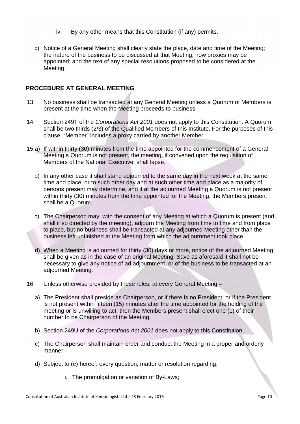- iv. By any other means that this Constitution (if any) permits.
- c) Notice of a General Meeting shall clearly state the place, date and time of the Meeting; the nature of the business to be discussed at that Meeting; how proxies may be appointed; and the text of any special resolutions proposed to be considered at the Meeting.

# **PROCEDURE AT GENERAL MEETING**

- 13. No business shall be transacted at any General Meeting unless a Quorum of Members is present at the time when the Meeting proceeds to business.
- 14. Section 249T of the *Corporations Act 2001* does not apply to this Constitution. A Quorum shall be two thirds (2/3) of the Qualified Members of this Institute. For the purposes of this clause, "Member" includes a proxy carried by another Member.
- 15.a) If within thirty (30) minutes from the time appointed for the commencement of a General Meeting a Quorum is not present, the meeting, if convened upon the requisition of Members of the National Executive, shall lapse.
	- b) In any other case it shall stand adjourned to the same day in the next week at the same time and place, or to such other day and at such other time and place as a majority of persons present may determine, and if at the adjourned Meeting a Quorum is not present within thirty (30) minutes from the time appointed for the Meeting, the Members present shall be a Quorum.
	- c) The Chairperson may, with the consent of any Meeting at which a Quorum is present (and shall if so directed by the meeting), adjourn the Meeting from time to time and from place to place, but no business shall be transacted at any adjourned Meeting other than the business left unfinished at the Meeting from which the adjournment took place.
	- d) When a Meeting is adjourned for thirty (30) days or more, notice of the adjourned Meeting shall be given as in the case of an original Meeting. Save as aforesaid it shall not be necessary to give any notice of ad adjournment, or of the business to be transacted at an adjourned Meeting.
- 16. Unless otherwise provided by these rules, at every General Meeting
	- a) The President shall preside as Chairperson, or if there is no President, or if the President is not present within fifteen (15) minutes after the time appointed for the holding of the meeting or is unwilling to act, then the Members present shall elect one (1) of their number to be Chairperson of the Meeting.
	- b) Section 249U of the *Corporations Act 2001* does not apply to this Constitution.
	- c) The Chairperson shall maintain order and conduct the Meeting in a proper and orderly manner.
	- d) Subject to (e) hereof, every question, matter or resolution regarding;
		- i. The promulgation or variation of By-Laws;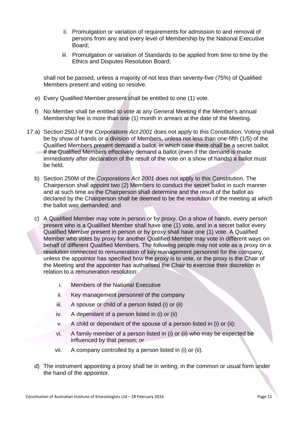- ii. Promulgation or variation of requirements for admission to and removal of persons from any and every level of Membership by the National Executive Board;
- iii. Promulgation or variation of Standards to be applied from time to time by the Ethics and Disputes Resolution Board;

shall not be passed, unless a majority of not less than seventy-five (75%) of Qualified Members present and voting so resolve.

- e) Every Qualified Member present shall be entitled to one (1) vote.
- f) No Member shall be entitled to vote at any General Meeting if the Member's annual Membership fee is more than one (1) month in arrears at the date of the Meeting.
- 17.a) Section 250J of the *Corporations Act 2001* does not apply to this Constitution. Voting shall be by show of hands or a division of Members, unless not less than one-fifth (1/5) of the Qualified Members present demand a ballot, in which case there shall be a secret ballot. If the Qualified Members effectively demand a ballot (even if the demand is made immediately after declaration of the result of the vote on a show of hands) a ballot must be held.
	- b) Section 250M of the *Corporations Act 2001* does not apply to this Constitution. The Chairperson shall appoint two (2) Members to conduct the secret ballot in such manner and at such time as the Chairperson shall determine and the result of the ballot as declared by the Chairperson shall be deemed to be the resolution of the meeting at which the ballot was demanded; and
	- c) A Qualified Member may vote in person or by proxy. On a show of hands, every person present who is a Qualified Member shall have one (1) vote, and in a secret ballot every Qualified Member present in person or by proxy shall have one (1) vote. A Qualified Member who votes by proxy for another Qualified Member may vote in different ways on behalf of different Qualified Members. The following people may not vote as a proxy on a resolution connected to remuneration of key management personnel for the company, unless the appointor has specified how the proxy is to vote, or the proxy is the Chair of the Meeting and the appointer has authorised the Chair to exercise their discretion in relation to a remuneration resolution:
		- i. Members of the National Executive
		- ii. Key management personnel of the company
		- iii. A spouse or child of a person listed (i) or (ii)
		- iv. A dependant of a person listed in (i) or (ii)
		- v. A child or dependant of the spouse of a person listed in (i) or (ii);
		- vi. A family member of a person listed in (i) or (ii) who may be expected be influenced by that person; or
		- vii. A company controlled by a person listed in (i) or (ii).
	- d) The instrument appointing a proxy shall be in writing, in the common or usual form under the hand of the appointor.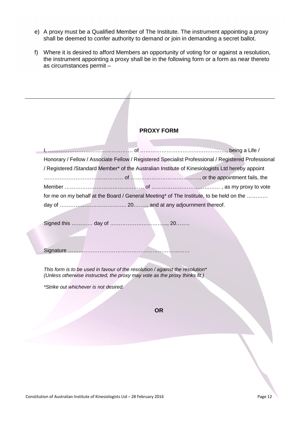- e) A proxy must be a Qualified Member of The Institute. The instrument appointing a proxy shall be deemed to confer authority to demand or join in demanding a secret ballot.
- f) Where it is desired to afford Members an opportunity of voting for or against a resolution, the instrument appointing a proxy shall be in the following form or a form as near thereto as circumstances permit –

# **PROXY FORM**

|  | Honorary / Fellow / Associate Fellow / Registered Specialist Professional / Registered Professional |
|--|-----------------------------------------------------------------------------------------------------|
|  | / Registered / Standard Member* of the Australian Institute of Kinesiologists Ltd hereby appoint    |
|  |                                                                                                     |
|  |                                                                                                     |
|  | for me on my behalf at the Board / General Meeting* of The Institute, to be held on the             |
|  |                                                                                                     |
|  |                                                                                                     |
|  |                                                                                                     |

Signature ……………………………………………………………

*This form is to be used in favour of the resolution / against the resolution\* (Unless otherwise instructed, the proxy may vote as the proxy thinks fit.)*

*\*Strike out whichever is not desired.*

**OR**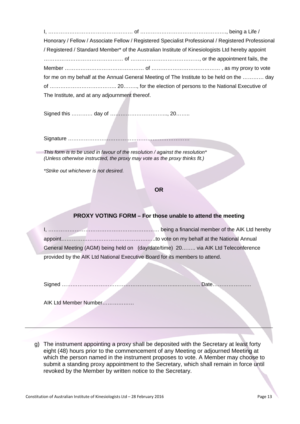I, ………………………………………… of …………………………………………., being a Life / Honorary / Fellow / Associate Fellow / Registered Specialist Professional / Registered Professional / Registered / Standard Member\* of the Australian Institute of Kinesiologists Ltd hereby appoint ……………………………………… of …………………………………, or the appointment fails, the Member ……………………………………… of ………………………………… , as my proxy to vote for me on my behalf at the Annual General Meeting of The Institute to be held on the ………… day of ……………………………….. 20…….., for the election of persons to the National Executive of The Institute, and at any adjournment thereof.

Signed this ………… day of …………………………..., 20……..

Signature ……………………………………………………………

*This form is to be used in favour of the resolution / against the resolution\* (Unless otherwise instructed, the proxy may vote as the proxy thinks fit.)*

*\*Strike out whichever is not desired.*

**OR**

# **PROXY VOTING FORM – For those unable to attend the meeting**

|                                                                             | General Meeting (AGM) being held on (day/date/time) 20 via AIK Ltd Teleconference |
|-----------------------------------------------------------------------------|-----------------------------------------------------------------------------------|
| provided by the AIK Ltd National Executive Board for its members to attend. |                                                                                   |

Signed ………………………………………………………..………….. Date………………….

AIK Ltd Member Number………………

g) The instrument appointing a proxy shall be deposited with the Secretary at least forty eight (48) hours prior to the commencement of any Meeting or adjourned Meeting at which the person named in the instrument proposes to vote. A Member may choose to submit a standing proxy appointment to the Secretary, which shall remain in force until revoked by the Member by written notice to the Secretary.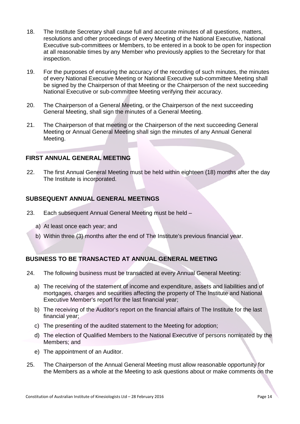- 18. The Institute Secretary shall cause full and accurate minutes of all questions, matters, resolutions and other proceedings of every Meeting of the National Executive, National Executive sub-committees or Members, to be entered in a book to be open for inspection at all reasonable times by any Member who previously applies to the Secretary for that inspection.
- 19. For the purposes of ensuring the accuracy of the recording of such minutes, the minutes of every National Executive Meeting or National Executive sub-committee Meeting shall be signed by the Chairperson of that Meeting or the Chairperson of the next succeeding National Executive or sub-committee Meeting verifying their accuracy.
- 20. The Chairperson of a General Meeting, or the Chairperson of the next succeeding General Meeting, shall sign the minutes of a General Meeting.
- 21. The Chairperson of that meeting or the Chairperson of the next succeeding General Meeting or Annual General Meeting shall sign the minutes of any Annual General Meeting.

#### **FIRST ANNUAL GENERAL MEETING**

22. The first Annual General Meeting must be held within eighteen (18) months after the day The Institute is incorporated.

# **SUBSEQUENT ANNUAL GENERAL MEETINGS**

- 23. Each subsequent Annual General Meeting must be held
	- a) At least once each year; and
	- b) Within three (3) months after the end of The Institute's previous financial year.

# **BUSINESS TO BE TRANSACTED AT ANNUAL GENERAL MEETING**

- 24. The following business must be transacted at every Annual General Meeting:
	- a) The receiving of the statement of income and expenditure, assets and liabilities and of mortgages, charges and securities affecting the property of The Institute and National Executive Member's report for the last financial year;
	- b) The receiving of the Auditor's report on the financial affairs of The Institute for the last financial year;
	- c) The presenting of the audited statement to the Meeting for adoption;
	- d) The election of Qualified Members to the National Executive of persons nominated by the Members; and
	- e) The appointment of an Auditor.
- 25. The Chairperson of the Annual General Meeting must allow reasonable opportunity for the Members as a whole at the Meeting to ask questions about or make comments on the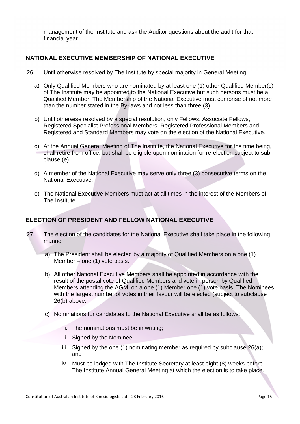management of the Institute and ask the Auditor questions about the audit for that financial year.

# **NATIONAL EXECUTIVE MEMBERSHIP OF NATIONAL EXECUTIVE**

- 26. Until otherwise resolved by The Institute by special majority in General Meeting:
	- a) Only Qualified Members who are nominated by at least one (1) other Qualified Member(s) of The Institute may be appointed to the National Executive but such persons must be a Qualified Member. The Membership of the National Executive must comprise of not more than the number stated in the By-laws and not less than three (3).
	- b) Until otherwise resolved by a special resolution, only Fellows, Associate Fellows, Registered Specialist Professional Members, Registered Professional Members and Registered and Standard Members may vote on the election of the National Executive.
	- c) At the Annual General Meeting of The Institute, the National Executive for the time being, shall retire from office, but shall be eligible upon nomination for re-election subject to subclause (e).
	- d) A member of the National Executive may serve only three (3) consecutive terms on the National Executive.
	- e) The National Executive Members must act at all times in the interest of the Members of The Institute.

# **ELECTION OF PRESIDENT AND FELLOW NATIONAL EXECUTIVE**

- 27. The election of the candidates for the National Executive shall take place in the following manner:
	- a) The President shall be elected by a majority of Qualified Members on a one (1) Member – one (1) vote basis.
	- b) All other National Executive Members shall be appointed in accordance with the result of the postal vote of Qualified Members and vote in person by Qualified Members attending the AGM, on a one (1) Member one (1) vote basis. The Nominees with the largest number of votes in their favour will be elected (subject to subclause 26(b) above.
	- c) Nominations for candidates to the National Executive shall be as follows:
		- i. The nominations must be in writing;
		- ii. Signed by the Nominee;
		- iii. Signed by the one  $(1)$  nominating member as required by subclause  $26(a)$ ; and
		- iv. Must be lodged with The Institute Secretary at least eight (8) weeks before The Institute Annual General Meeting at which the election is to take place.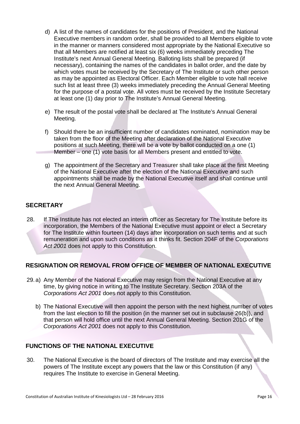- d) A list of the names of candidates for the positions of President, and the National Executive members in random order, shall be provided to all Members eligible to vote in the manner or manners considered most appropriate by the National Executive so that all Members are notified at least six (6) weeks immediately preceding The Institute's next Annual General Meeting. Balloting lists shall be prepared (if necessary), containing the names of the candidates in ballot order, and the date by which votes must be received by the Secretary of The Institute or such other person as may be appointed as Electoral Officer. Each Member eligible to vote hall receive such list at least three (3) weeks immediately preceding the Annual General Meeting for the purpose of a postal vote. All votes must be received by the Institute Secretary at least one (1) day prior to The Institute's Annual General Meeting.
- e) The result of the postal vote shall be declared at The Institute's Annual General Meeting.
- f) Should there be an insufficient number of candidates nominated, nomination may be taken from the floor of the Meeting after declaration of the National Executive positions at such Meeting, there will be a vote by ballot conducted on a one (1) Member – one (1) vote basis for all Members present and entitled to vote.
- g) The appointment of the Secretary and Treasurer shall take place at the first Meeting of the National Executive after the election of the National Executive and such appointments shall be made by the National Executive itself and shall continue until the next Annual General Meeting.

# **SECRETARY**

28. If The Institute has not elected an interim officer as Secretary for The Institute before its incorporation, the Members of the National Executive must appoint or elect a Secretary for The Institute within fourteen (14) days after incorporation on such terms and at such remuneration and upon such conditions as it thinks fit. Section 204F of the *Corporations Act 2001* does not apply to this Constitution.

# **RESIGNATION OR REMOVAL FROM OFFICE OF MEMBER OF NATIONAL EXECUTIVE**

- 29.a) Any Member of the National Executive may resign from the National Executive at any time, by giving notice in writing to The Institute Secretary. Section 203A of the *Corporations Act 2001* does not apply to this Constitution.
	- b) The National Executive will then appoint the person with the next highest number of votes from the last election to fill the position (in the manner set out in subclause 26(b)), and that person will hold office until the next Annual General Meeting. Section 201G of the *Corporations Act 2001* does not apply to this Constitution.

# **FUNCTIONS OF THE NATIONAL EXECUTIVE**

30. The National Executive is the board of directors of The Institute and may exercise all the powers of The Institute except any powers that the law or this Constitution (if any) requires The Institute to exercise in General Meeting.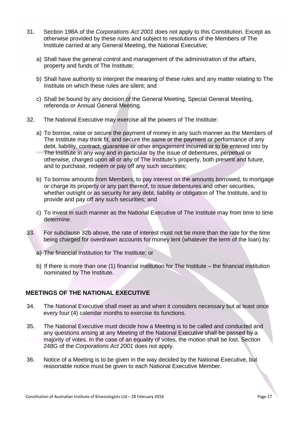- 31. Section 198A of the *Corporations Act 2001* does not apply to this Constitution. Except as otherwise provided by these rules and subject to resolutions of the Members of The Institute carried at any General Meeting, the National Executive;
	- a) Shall have the general control and management of the administration of the affairs, property and funds of The Institute;
	- b) Shall have authority to interpret the meaning of these rules and any matter relating to The Institute on which these rules are silent; and
	- c) Shall be bound by any decision of the General Meeting, Special General Meeting, referenda or Annual General Meeting.
- 32. The National Executive may exercise all the powers of The Institute:
	- a) To borrow, raise or secure the payment of money in any such manner as the Members of The Institute may think fit, and secure the same or the payment or performance of any debt, liability, contract, guarantee or other engagement incurred or to be entered into by The Institute in any way and in particular by the issue of debentures, perpetual or otherwise, charged upon all or any of The Institute's property, both present and future, and to purchase, redeem or pay off any such securities;
	- b) To borrow amounts from Members, to pay interest on the amounts borrowed, to mortgage or charge its property or any part thereof, to issue debentures and other securities, whether outright or as security for any debt, liability or obligation of The Institute, and to provide and pay off any such securities; and
	- c) To invest in such manner as the National Executive of The Institute may from time to time determine.
- 33. For subclause 32b above, the rate of interest must not be more than the rate for the time being charged for overdrawn accounts for money lent (whatever the term of the loan) by:
	- a) The financial institution for The Institute; or
	- b) If there is more than one (1) financial institution for The Institute the financial institution nominated by The Institute.

# **MEETINGS OF THE NATIONAL EXECUTIVE**

- 34. The National Executive shall meet as and when it considers necessary but at least once every four (4) calendar months to exercise its functions.
- 35. The National Executive must decide how a Meeting is to be called and conducted and any questions arising at any Meeting of the National Executive shall be passed by a majority of votes. In the case of an equality of votes, the motion shall be lost. Section 248G of the *Corporations Act 2001* does not apply.
- 36. Notice of a Meeting is to be given in the way decided by the National Executive, but reasonable notice must be given to each National Executive Member.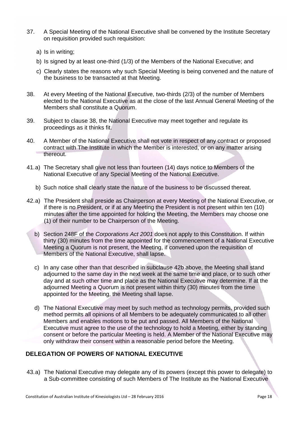- 37. A Special Meeting of the National Executive shall be convened by the Institute Secretary on requisition provided such requisition:
	- a) Is in writing;
	- b) Is signed by at least one-third (1/3) of the Members of the National Executive; and
	- c) Clearly states the reasons why such Special Meeting is being convened and the nature of the business to be transacted at that Meeting.
- 38. At every Meeting of the National Executive, two-thirds (2/3) of the number of Members elected to the National Executive as at the close of the last Annual General Meeting of the Members shall constitute a Quorum.
- 39. Subject to clause 38, the National Executive may meet together and regulate its proceedings as it thinks fit.
- 40. A Member of the National Executive shall not vote in respect of any contract or proposed contract with The Institute in which the Member is interested, or on any matter arising thereout.
- 41.a) The Secretary shall give not less than fourteen (14) days notice to Members of the National Executive of any Special Meeting of the National Executive.
	- b) Such notice shall clearly state the nature of the business to be discussed thereat.
- 42.a) The President shall preside as Chairperson at every Meeting of the National Executive, or if there is no President, or if at any Meeting the President is not present within ten (10) minutes after the time appointed for holding the Meeting, the Members may choose one (1) of their number to be Chairperson of the Meeting.
	- b) Section 248F of the *Corporations Act 2001* does not apply to this Constitution. If within thirty (30) minutes from the time appointed for the commencement of a National Executive Meeting a Quorum is not present, the Meeting, if convened upon the requisition of Members of the National Executive, shall lapse.
	- c) In any case other than that described in subclause 42b above, the Meeting shall stand adjourned to the same day in the next week at the same time and place, or to such other day and at such other time and place as the National Executive may determine. If at the adjourned Meeting a Quorum is not present within thirty (30) minutes from the time appointed for the Meeting, the Meeting shall lapse.
	- d) The National Executive may meet by such method as technology permits, provided such method permits all opinions of all Members to be adequately communicated to all other Members and enables motions to be put and passed. All Members of the National Executive must agree to the use of the technology to hold a Meeting, either by standing consent or before the particular Meeting is held. A Member of the National Executive may only withdraw their consent within a reasonable period before the Meeting.

# **DELEGATION OF POWERS OF NATIONAL EXECUTIVE**

43.a) The National Executive may delegate any of its powers (except this power to delegate) to a Sub-committee consisting of such Members of The Institute as the National Executive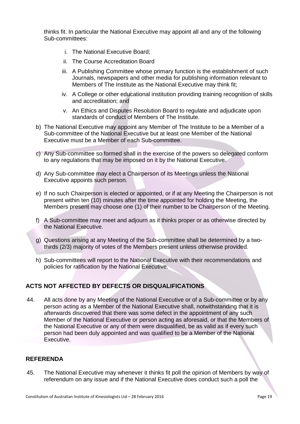thinks fit. In particular the National Executive may appoint all and any of the following Sub-committees:

- i. The National Executive Board;
- ii. The Course Accreditation Board
- iii. A Publishing Committee whose primary function is the establishment of such Journals, newspapers and other media for publishing information relevant to Members of The Institute as the National Executive may think fit;
- iv. A College or other educational institution providing training recognition of skills and accreditation; and
- v. An Ethics and Disputes Resolution Board to regulate and adjudicate upon standards of conduct of Members of The Institute.
- b) The National Executive may appoint any Member of The Institute to be a Member of a Sub-committee of the National Executive but at least one Member of the National Executive must be a Member of each Sub-committee.
- c) Any Sub-committee so formed shall in the exercise of the powers so delegated conform to any regulations that may be imposed on it by the National Executive.
- d) Any Sub-committee may elect a Chairperson of its Meetings unless the National Executive appoints such person.
- e) If no such Chairperson is elected or appointed, or if at any Meeting the Chairperson is not present within ten (10) minutes after the time appointed for holding the Meeting, the Members present may choose one (1) of their number to be Chairperson of the Meeting.
- f) A Sub-committee may meet and adjourn as it thinks proper or as otherwise directed by the National Executive.
- g) Questions arising at any Meeting of the Sub-committee shall be determined by a twothirds (2/3) majority of votes of the Members present unless otherwise provided.
- h) Sub-committees will report to the National Executive with their recommendations and policies for ratification by the National Executive.

# **ACTS NOT AFFECTED BY DEFECTS OR DISQUALIFICATIONS**

44. All acts done by any Meeting of the National Executive or of a Sub-committee or by any person acting as a Member of the National Executive shall, notwithstanding that it is afterwards discovered that there was some defect in the appointment of any such Member of the National Executive or person acting as aforesaid, or that the Members of the National Executive or any of them were disqualified, be as valid as if every such person had been duly appointed and was qualified to be a Member of the National Executive.

# **REFERENDA**

45. The National Executive may whenever it thinks fit poll the opinion of Members by way of referendum on any issue and if the National Executive does conduct such a poll the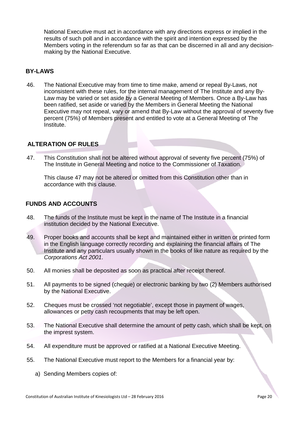National Executive must act in accordance with any directions express or implied in the results of such poll and in accordance with the spirit and intention expressed by the Members voting in the referendum so far as that can be discerned in all and any decisionmaking by the National Executive.

#### **BY-LAWS**

46. The National Executive may from time to time make, amend or repeal By-Laws, not inconsistent with these rules, for the internal management of The Institute and any By-Law may be varied or set aside by a General Meeting of Members. Once a By-Law has been ratified, set aside or varied by the Members in General Meeting the National Executive may not repeal, vary or amend that By-Law without the approval of seventy five percent (75%) of Members present and entitled to vote at a General Meeting of The Institute.

#### **ALTERATION OF RULES**

47. This Constitution shall not be altered without approval of seventy five percent (75%) of The Institute in General Meeting and notice to the Commissioner of Taxation.

This clause 47 may not be altered or omitted from this Constitution other than in accordance with this clause.

#### **FUNDS AND ACCOUNTS**

- 48. The funds of the Institute must be kept in the name of The Institute in a financial institution decided by the National Executive.
- 49. Proper books and accounts shall be kept and maintained either in written or printed form in the English language correctly recording and explaining the financial affairs of The Institute and any particulars usually shown in the books of like nature as required by the *Corporations Act 2001*.
- 50. All monies shall be deposited as soon as practical after receipt thereof.
- 51. All payments to be signed (cheque) or electronic banking by two (2) Members authorised by the National Executive.
- 52. Cheques must be crossed 'not negotiable', except those in payment of wages, allowances or petty cash recoupments that may be left open.
- 53. The National Executive shall determine the amount of petty cash, which shall be kept, on the imprest system.
- 54. All expenditure must be approved or ratified at a National Executive Meeting.
- 55. The National Executive must report to the Members for a financial year by:
	- a) Sending Members copies of: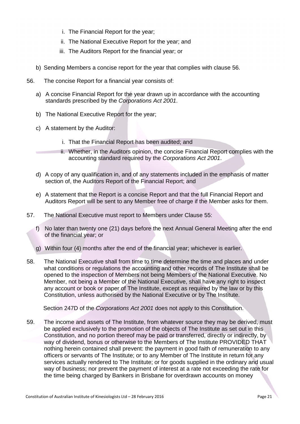- i. The Financial Report for the year;
- ii. The National Executive Report for the year; and
- iii. The Auditors Report for the financial year; or
- b) Sending Members a concise report for the year that complies with clause 56.
- 56. The concise Report for a financial year consists of:
	- a) A concise Financial Report for the year drawn up in accordance with the accounting standards prescribed by the *Corporations Act 2001*.
	- b) The National Executive Report for the year;
	- c) A statement by the Auditor:
		- i. That the Financial Report has been audited; and
		- ii. Whether, in the Auditors opinion, the concise Financial Report complies with the accounting standard required by the *Corporations Act 2001*.
	- d) A copy of any qualification in, and of any statements included in the emphasis of matter section of, the Auditors Report of the Financial Report; and
	- e) A statement that the Report is a concise Report and that the full Financial Report and Auditors Report will be sent to any Member free of charge if the Member asks for them.
- 57. The National Executive must report to Members under Clause 55:
	- f) No later than twenty one (21) days before the next Annual General Meeting after the end of the financial year; or
	- g) Within four (4) months after the end of the financial year; whichever is earlier.
- 58. The National Executive shall from time to time determine the time and places and under what conditions or regulations the accounting and other records of The Institute shall be opened to the inspection of Members not being Members of the National Executive. No Member, not being a Member of the National Executive, shall have any right to inspect any account or book or paper of The Institute, except as required by the law or by this Constitution, unless authorised by the National Executive or by The Institute.

Section 247D of the *Corporations Act 2001* does not apply to this Constitution.

59. The income and assets of The Institute, from whatever source they may be derived, must be applied exclusively to the promotion of the objects of The Institute as set out in this Constitution, and no portion thereof may be paid or transferred, directly or indirectly, by way of dividend, bonus or otherwise to the Members of The Institute PROVIDED THAT nothing herein contained shall prevent: the payment in good faith of remuneration to any officers or servants of The Institute; or to any Member of The Institute in return for any services actually rendered to The Institute; or for goods supplied in the ordinary and usual way of business; nor prevent the payment of interest at a rate not exceeding the rate for the time being charged by Bankers in Brisbane for overdrawn accounts on money